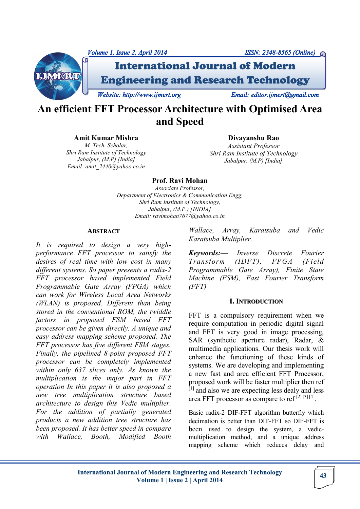

# **An efficient FFT Processor Architecture with Optimised Area and Speed**

**Amit Kumar Mishra**

*M. Tech. Scholar, Shri Ram Institute of Technology Jabalpur, (M.P) [India] Email: amit\_2440@yahoo.co.in* 

**Divayanshu Rao**  *Assistant Professor Shri Ram Institute of Technology Jabalpur, (M.P) [India]*

# **Prof. Ravi Mohan**

*Associate Professor, Department of Electronics & Communication Engg, Shri Ram Institute of Technology, Jabalpur, (M.P.) [INDIA] Email: ravimohan7677@yahoo.co.in* 

#### **ABSTRACT**

*It is required to design a very highperformance FFT processor to satisfy the desires of real time with low cost in many different systems. So paper presents a radix-2 FFT processor based implemented Field Programmable Gate Array (FPGA) which can work for Wireless Local Area Networks (WLAN) is proposed. Different than being stored in the conventional ROM, the twiddle factors in proposed FSM based FFT processor can be given directly. A unique and easy address mapping scheme proposed. The FFT processor has five different FSM stages. Finally, the pipelined 8-point proposed FFT processor can be completely implemented within only 637 slices only. As known the multiplication is the major part in FFT operation In this paper it is also proposed a new tree multiplication structure based architecture to design this Vedic multiplier. For the addition of partially generated products a new addition tree structure has been proposed. It has better speed in compare with Wallace, Booth, Modified Booth* 

*Wallace, Array, Karatsuba and Vedic Karatsuba Multiplier.*

*Keywords:— Inverse Discrete Fourier Transform (IDFT), FPGA (Field Programmable Gate Array), Finite State Machine (FSM), Fast Fourier Transform (FFT)*

## **I. INTRODUCTION**

FFT is a compulsory requirement when we require computation in periodic digital signal and FFT is very good in image processing, SAR (synthetic aperture radar), Radar, & multimedia applications. Our thesis work will enhance the functioning of these kinds of systems. We are developing and implementing a new fast and area efficient FFT Processor, proposed work will be faster multiplier then ref  $[1]$  and also we are expecting less dealy and less area FFT processor as compare to ref<sup>[2][3][4]</sup>.

Basic radix-2 DIF-FFT algorithm butterfly which decimation is better than DIT-FFT so DIF-FFT is been used to design the system, a vedicmultiplication method, and a unique address mapping scheme which reduces delay and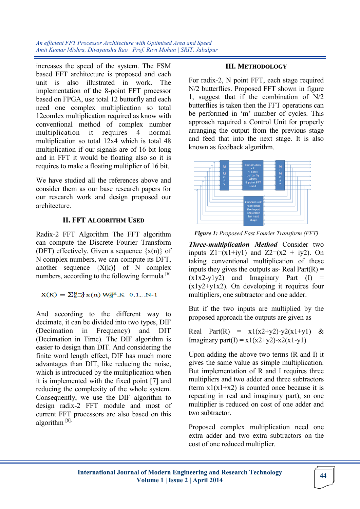*An efficient FFT Processor Architecture with Optimised Area and Speed Amit Kumar Mishra, Divayanshu Rao | Prof. Ravi Mohan | SRIT, Jabalpur*

increases the speed of the system. The FSM based FFT architecture is proposed and each unit is also illustrated in work. The implementation of the 8-point FFT processor based on FPGA, use total 12 butterfly and each need one complex multiplication so total 12comlex multiplication required as know with conventional method of complex number multiplication it requires 4 normal multiplication so total 12x4 which is total 48 multiplication if our signals are of 16 bit long and in FFT it would be floating also so it is requires to make a floating multiplier of 16 bit.

We have studied all the references above and consider them as our base research papers for our research work and design proposed our architecture.

## **II. FFT ALGORITHM USED**

Radix-2 FFT Algorithm The FFT algorithm can compute the Discrete Fourier Transform (DFT) effectively. Given a sequence  $\{x(n)\}\$  of N complex numbers, we can compute its DFT, another sequence  ${X(k)}$  of N complex numbers, according to the following formula  $[6]$ 

 $X(K) = \sum_{n=0}^{N-1} x(n) W_N^{nk}$ , K=0, 1,.. N-1

And according to the different way to decimate, it can be divided into two types, DIF (Decimation in Frequency) and DIT (Decimation in Time). The DIF algorithm is easier to design than DIT. And considering the finite word length effect, DIF has much more advantages than DIT, like reducing the noise, which is introduced by the multiplication when it is implemented with the fixed point [7] and reducing the complexity of the whole system. Consequently, we use the DIF algorithm to design radix-2 FFT module and most of current FFT processors are also based on this algorithm [8].

## **III. METHODOLOGY**

For radix-2, N point FFT, each stage required N/2 butterflies. Proposed FFT shown in figure 1, suggest that if the combination of N/2 butterflies is taken then the FFT operations can be performed in 'm' number of cycles. This approach required a Control Unit for properly arranging the output from the previous stage and feed that into the next stage. It is also known as feedback algorithm.



*Figure 1: Proposed Fast Fourier Transform (FFT)*

*Three-multiplication Method* Consider two inputs  $Z1=(x1+iy1)$  and  $Z2=(x2 + iy2)$ . On taking conventional multiplication of these inputs they gives the outputs as- Real Part $(R)$  =  $(x1x2-y1y2)$  and Imaginary Part (I)  $(x1y2+y1x2)$ . On developing it requires four multipliers, one subtractor and one adder.

But if the two inputs are multiplied by the proposed approach the outputs are given as

Real Part(R) =  $x1(x2+y2)-y2(x1+y1)$  & Imaginary part(I) =  $x1(x2+y2)$ - $x2(x1-y1)$ 

Upon adding the above two terms (R and I) it gives the same value as simple multiplication. But implementation of R and I requires three multipliers and two adder and three subtractors (term  $x1(x1+x2)$  is counted once because it is repeating in real and imaginary part), so one multiplier is reduced on cost of one adder and two subtractor.

Proposed complex multiplication need one extra adder and two extra subtractors on the cost of one reduced multiplier.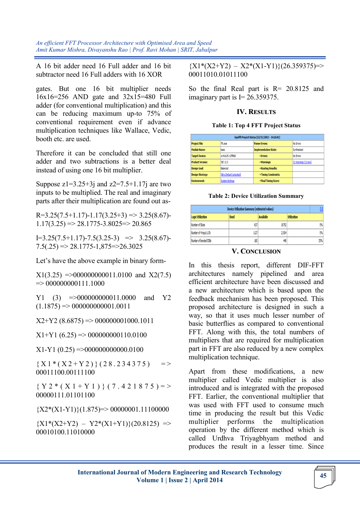*An efficient FFT Processor Architecture with Optimised Area and Speed Amit Kumar Mishra, Divayanshu Rao | Prof. Ravi Mohan | SRIT, Jabalpur*

A 16 bit adder need 16 Full adder and 16 bit subtractor need 16 Full adders with 16 XOR

gates. But one 16 bit multiplier needs 16x16=256 AND gate and 32x15=480 Full adder (for conventional multiplication) and this can be reducing maximum up-to 75% of conventional requirement even if advance multiplication techniques like Wallace, Vedic, booth etc. are used.

Therefore it can be concluded that still one adder and two subtractions is a better deal instead of using one 16 bit multiplier.

Suppose  $z1=3.25+3j$  and  $z2=7.5+1.17j$  are two inputs to be multiplied. The real and imaginary parts after their multiplication are found out as-

 $R=3.25(7.5+1.17)-1.17(3.25+3) \Rightarrow 3.25(8.67)$  $1.17(3.25) \Rightarrow 28.1775 - 3.8025 \Rightarrow 20.865$ 

 $I=3.25(7.5+1.17)-7.5(3.25-3) \Rightarrow 3.25(8.67)$ - $7.5(.25) \Rightarrow 28.1775 - 1,875 \Rightarrow 26.3025$ 

Let's have the above example in binary form-

 $X1(3.25) = 000000000011.0100$  and  $X2(7.5)$  $\Rightarrow 000000000111.1000$ 

 $Y1 (3) = >000000000011.0000$  and  $Y2$  $(1.1875) \Rightarrow 000000000001.0011$ 

 $X2+Y2$  (8.6875) => 000000001000.1011

 $X1+Y1$  (6.25) => 000000000110.0100

 $X1-Y1$  (0.25) =>000000000000.0100

 ${X1*(X2+Y2)} (28.234375) = >$ 00011100.00111100

 ${Y 2 * (X 1 + Y 1)} (7.421875) = >$ 00000111.01101100

 ${X2*(X1-Y1)}(1.875)=>00000001.11100000$ 

 ${X1*(X2+Y2) - Y2*(X1+Y1)}(20.8125)$  => 00010100.11010000

 ${X1*(X2+Y2) - X2*(X1-Y1)}(26.359375)=>$ 00011010.01011100

So the final Real part is R= 20.8125 and imaginary part is  $I = 26.359375$ .

### **IV. RESULTS**

#### **Table 1: Top 4 FFT Project Status**

| top4fft Project Status (12/11/2013 - 14:26:43) |                           |                              |                      |  |
|------------------------------------------------|---------------------------|------------------------------|----------------------|--|
| <b>Project File:</b>                           | fft.xise                  | <b>Parser Errors:</b>        | No Errors            |  |
| <b>Module Name:</b>                            | basic                     | <b>Implementation State:</b> | Synthesized          |  |
| <b>Target Device:</b>                          | xc4vlx25-12ff668          | • Errors:                    | No Errors            |  |
| <b>Product Version:</b>                        | ISE 12.2                  | • Warnings:                  | 21 Warnings (12 new) |  |
| <b>Design Goal:</b>                            | Balanced                  | • Routing Results:           |                      |  |
| <b>Design Strategy:</b>                        | Xilinx Default (unlocked) | • Timing Constraints:        |                      |  |
| <b>Environment:</b>                            | <b>System Settings</b>    | • Final Timing Score:        |                      |  |

#### **Table 2: Device Utilization Summary**

| <b>Device Utilization Summary (estimated values)</b> |             |           |                    |  |
|------------------------------------------------------|-------------|-----------|--------------------|--|
| Logic Utilization                                    | <b>Used</b> | Available | <b>Utilization</b> |  |
| Number of Slices                                     | 637         | 10752     | 5%                 |  |
| Number of 4 input LUTs                               | 1127        | 21504     | 5%                 |  |
| Number of bonded IOBs                                | 160         | 448       | 35%                |  |

### **V. CONCLUSION**

In this thesis report, different DIF-FFT architectures namely pipelined and area efficient architecture have been discussed and a new architecture which is based upon the feedback mechanism has been proposed. This proposed architecture is designed in such a way, so that it uses much lesser number of basic butterflies as compared to conventional FFT. Along with this, the total numbers of multipliers that are required for multiplication part in FFT are also reduced by a new complex multiplication technique.

Apart from these modifications, a new multiplier called Vedic multiplier is also introduced and is integrated with the proposed FFT. Earlier, the conventional multiplier that was used with FFT used to consume much time in producing the result but this Vedic multiplier performs the multiplication operation by the different method which is called Urdhva Triyagbhyam method and produces the result in a lesser time. Since